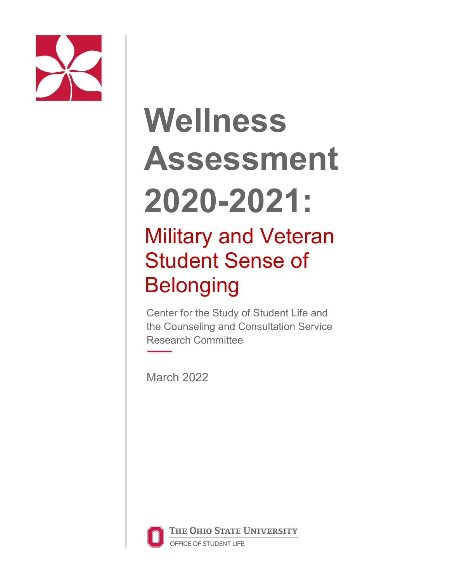

# **Wellness Assessment 2020-2021:**

## Military and Veteran Student Sense of Belonging

Center for the Study of Student Life and the Counseling and Consultation Service Research Committee

March 2022



THE OHIO STATE UNIVERSITY

OFFICE OF STUDENT LIFE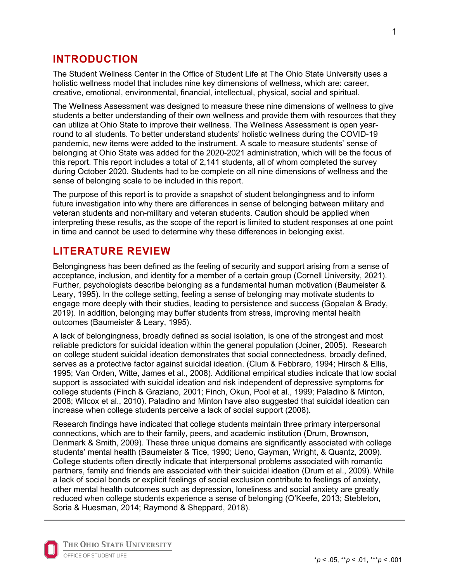#### **INTRODUCTION**

The Student Wellness Center in the Office of Student Life at The Ohio State University uses a holistic wellness model that includes nine key dimensions of wellness, which are: career, creative, emotional, environmental, financial, intellectual, physical, social and spiritual.

The Wellness Assessment was designed to measure these nine dimensions of wellness to give students a better understanding of their own wellness and provide them with resources that they can utilize at Ohio State to improve their wellness. The Wellness Assessment is open yearround to all students. To better understand students' holistic wellness during the COVID-19 pandemic, new items were added to the instrument. A scale to measure students' sense of belonging at Ohio State was added for the 2020-2021 administration, which will be the focus of this report. This report includes a total of 2,141 students, all of whom completed the survey during October 2020. Students had to be complete on all nine dimensions of wellness and the sense of belonging scale to be included in this report.

The purpose of this report is to provide a snapshot of student belongingness and to inform future investigation into why there are differences in sense of belonging between military and veteran students and non-military and veteran students. Caution should be applied when interpreting these results, as the scope of the report is limited to student responses at one point in time and cannot be used to determine why these differences in belonging exist.

#### **LITERATURE REVIEW**

Belongingness has been defined as the feeling of security and support arising from a sense of acceptance, inclusion, and identity for a member of a certain group (Cornell University, 2021). Further, psychologists describe belonging as a fundamental human motivation (Baumeister & Leary, 1995). In the college setting, feeling a sense of belonging may motivate students to engage more deeply with their studies, leading to persistence and success (Gopalan & Brady, 2019). In addition, belonging may buffer students from stress, improving mental health outcomes (Baumeister & Leary, 1995).

A lack of belongingness, broadly defined as social isolation, is one of the strongest and most reliable predictors for suicidal ideation within the general population (Joiner, 2005). Research on college student suicidal ideation demonstrates that social connectedness, broadly defined, serves as a protective factor against suicidal ideation. (Clum & Febbraro, 1994; Hirsch & Ellis, 1995; Van Orden, Witte, James et al., 2008). Additional empirical studies indicate that low social support is associated with suicidal ideation and risk independent of depressive symptoms for college students (Finch & Graziano, 2001; Finch, Okun, Pool et al., 1999; Paladino & Minton, 2008; Wilcox et al., 2010). Paladino and Minton have also suggested that suicidal ideation can increase when college students perceive a lack of social support (2008).

Research findings have indicated that college students maintain three primary interpersonal connections, which are to their family, peers, and academic institution (Drum, Brownson, Denmark & Smith, 2009). These three unique domains are significantly associated with college students' mental health (Baumeister & Tice, 1990; Ueno, Gayman, Wright, & Quantz, 2009). College students often directly indicate that interpersonal problems associated with romantic partners, family and friends are associated with their suicidal ideation (Drum et al., 2009). While a lack of social bonds or explicit feelings of social exclusion contribute to feelings of anxiety, other mental health outcomes such as depression, loneliness and social anxiety are greatly reduced when college students experience a sense of belonging (O'Keefe, 2013; Stebleton, Soria & Huesman, 2014; Raymond & Sheppard, 2018).

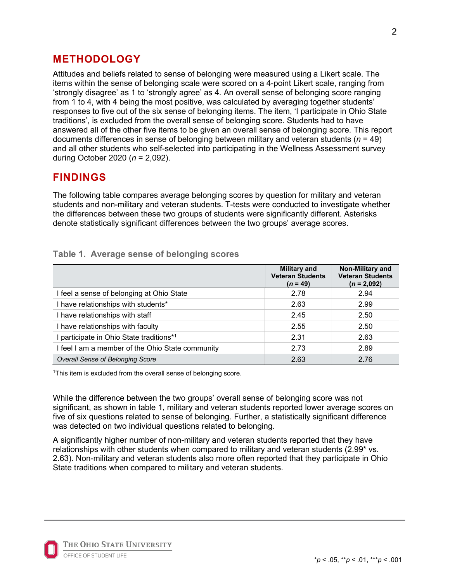#### **METHODOLOGY**

Attitudes and beliefs related to sense of belonging were measured using a Likert scale. The items within the sense of belonging scale were scored on a 4-point Likert scale, ranging from 'strongly disagree' as 1 to 'strongly agree' as 4. An overall sense of belonging score ranging from 1 to 4, with 4 being the most positive, was calculated by averaging together students' responses to five out of the six sense of belonging items. The item, 'I participate in Ohio State traditions', is excluded from the overall sense of belonging score. Students had to have answered all of the other five items to be given an overall sense of belonging score. This report documents differences in sense of belonging between military and veteran students (*n* = 49) and all other students who self-selected into participating in the Wellness Assessment survey during October 2020 (*n* = 2,092).

#### **FINDINGS**

The following table compares average belonging scores by question for military and veteran students and non-military and veteran students. T-tests were conducted to investigate whether the differences between these two groups of students were significantly different. Asterisks denote statistically significant differences between the two groups' average scores.

|                                                  | <b>Military and</b><br><b>Veteran Students</b><br>$(n = 49)$ | <b>Non-Military and</b><br><b>Veteran Students</b><br>$(n = 2.092)$ |
|--------------------------------------------------|--------------------------------------------------------------|---------------------------------------------------------------------|
| I feel a sense of belonging at Ohio State        | 2.78                                                         | 2.94                                                                |
| I have relationships with students*              | 2.63                                                         | 2.99                                                                |
| I have relationships with staff                  | 2.45                                                         | 2.50                                                                |
| I have relationships with faculty                | 2.55                                                         | 2.50                                                                |
| I participate in Ohio State traditions*1         | 2.31                                                         | 2.63                                                                |
| I feel I am a member of the Ohio State community | 2.73                                                         | 2.89                                                                |
| Overall Sense of Belonging Score                 | 2.63                                                         | 2.76                                                                |

#### **Table 1. Average sense of belonging scores**

<sup>1</sup>This item is excluded from the overall sense of belonging score.

While the difference between the two groups' overall sense of belonging score was not significant, as shown in table 1, military and veteran students reported lower average scores on five of six questions related to sense of belonging. Further, a statistically significant difference was detected on two individual questions related to belonging.

A significantly higher number of non-military and veteran students reported that they have relationships with other students when compared to military and veteran students (2.99\* vs. 2.63). Non-military and veteran students also more often reported that they participate in Ohio State traditions when compared to military and veteran students.

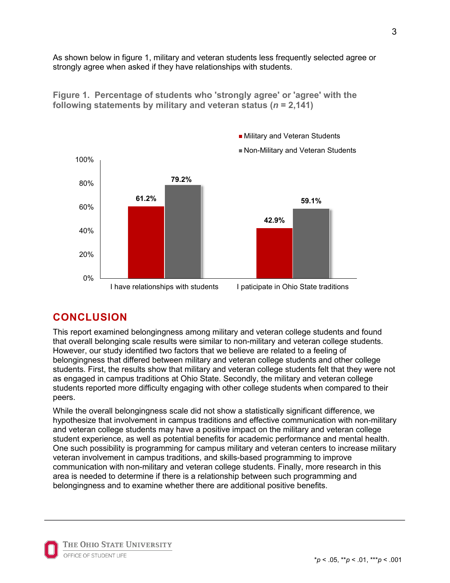As shown below in figure 1, military and veteran students less frequently selected agree or strongly agree when asked if they have relationships with students.

■ Military and Veteran Students



**Figure 1. Percentage of students who 'strongly agree' or 'agree' with the following statements by military and veteran status (***n* **= 2,141)**

### **CONCLUSION**

This report examined belongingness among military and veteran college students and found that overall belonging scale results were similar to non-military and veteran college students. However, our study identified two factors that we believe are related to a feeling of belongingness that differed between military and veteran college students and other college students. First, the results show that military and veteran college students felt that they were not as engaged in campus traditions at Ohio State. Secondly, the military and veteran college students reported more difficulty engaging with other college students when compared to their peers.

While the overall belongingness scale did not show a statistically significant difference, we hypothesize that involvement in campus traditions and effective communication with non-military and veteran college students may have a positive impact on the military and veteran college student experience, as well as potential benefits for academic performance and mental health. One such possibility is programming for campus military and veteran centers to increase military veteran involvement in campus traditions, and skills-based programming to improve communication with non-military and veteran college students. Finally, more research in this area is needed to determine if there is a relationship between such programming and belongingness and to examine whether there are additional positive benefits.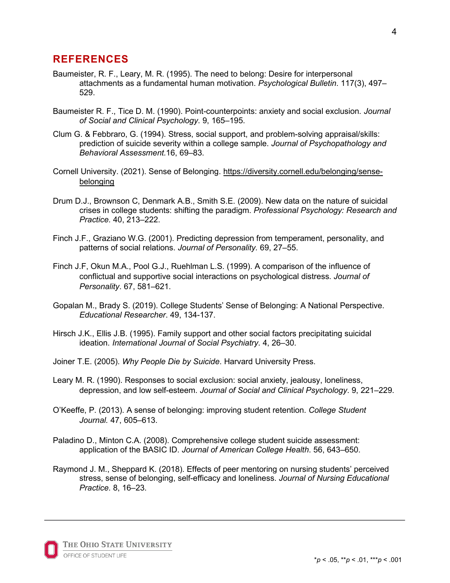#### **REFERENCES**

- Baumeister, R. F., Leary, M. R. (1995). The need to belong: Desire for interpersonal attachments as a fundamental human motivation. *Psychological Bulletin*. 117(3), 497– 529.
- Baumeister R. F., Tice D. M. (1990). Point-counterpoints: anxiety and social exclusion*. Journal of Social and Clinical Psychology*. 9, 165–195.
- Clum G. & Febbraro, G. (1994). Stress, social support, and problem-solving appraisal/skills: prediction of suicide severity within a college sample. *Journal of Psychopathology and Behavioral Assessment.*16, 69–83.
- Cornell University. (2021). Sense of Belonging. https://diversity.cornell.edu/belonging/sensebelonging
- Drum D.J., Brownson C, Denmark A.B., Smith S.E. (2009). New data on the nature of suicidal crises in college students: shifting the paradigm. *Professional Psychology: Research and Practice.* 40, 213–222.
- Finch J.F., Graziano W.G. (2001). Predicting depression from temperament, personality, and patterns of social relations. *Journal of Personality.* 69, 27–55.
- Finch J.F, Okun M.A., Pool G.J., Ruehlman L.S. (1999). A comparison of the influence of conflictual and supportive social interactions on psychological distress. *Journal of Personality*. 67, 581–621.
- Gopalan M., Brady S. (2019). College Students' Sense of Belonging: A National Perspective. *Educational Researcher*. 49, 134-137.
- Hirsch J.K., Ellis J.B. (1995). Family support and other social factors precipitating suicidal ideation. *International Journal of Social Psychiatry*. 4, 26–30.
- Joiner T.E. (2005). *Why People Die by Suicide*. Harvard University Press.
- Leary M. R. (1990). Responses to social exclusion: social anxiety, jealousy, loneliness, depression, and low self-esteem. *Journal of Social and Clinical Psychology*. 9, 221–229.
- O'Keeffe, P. (2013). A sense of belonging: improving student retention. *College Student Journal.* 47, 605–613.
- Paladino D., Minton C.A. (2008). Comprehensive college student suicide assessment: application of the BASIC ID. *Journal of American College Health*. 56, 643–650.
- Raymond J. M., Sheppard K. (2018). Effects of peer mentoring on nursing students' perceived stress, sense of belonging, self-efficacy and loneliness. *Journal of Nursing Educational Practice.* 8, 16–23.